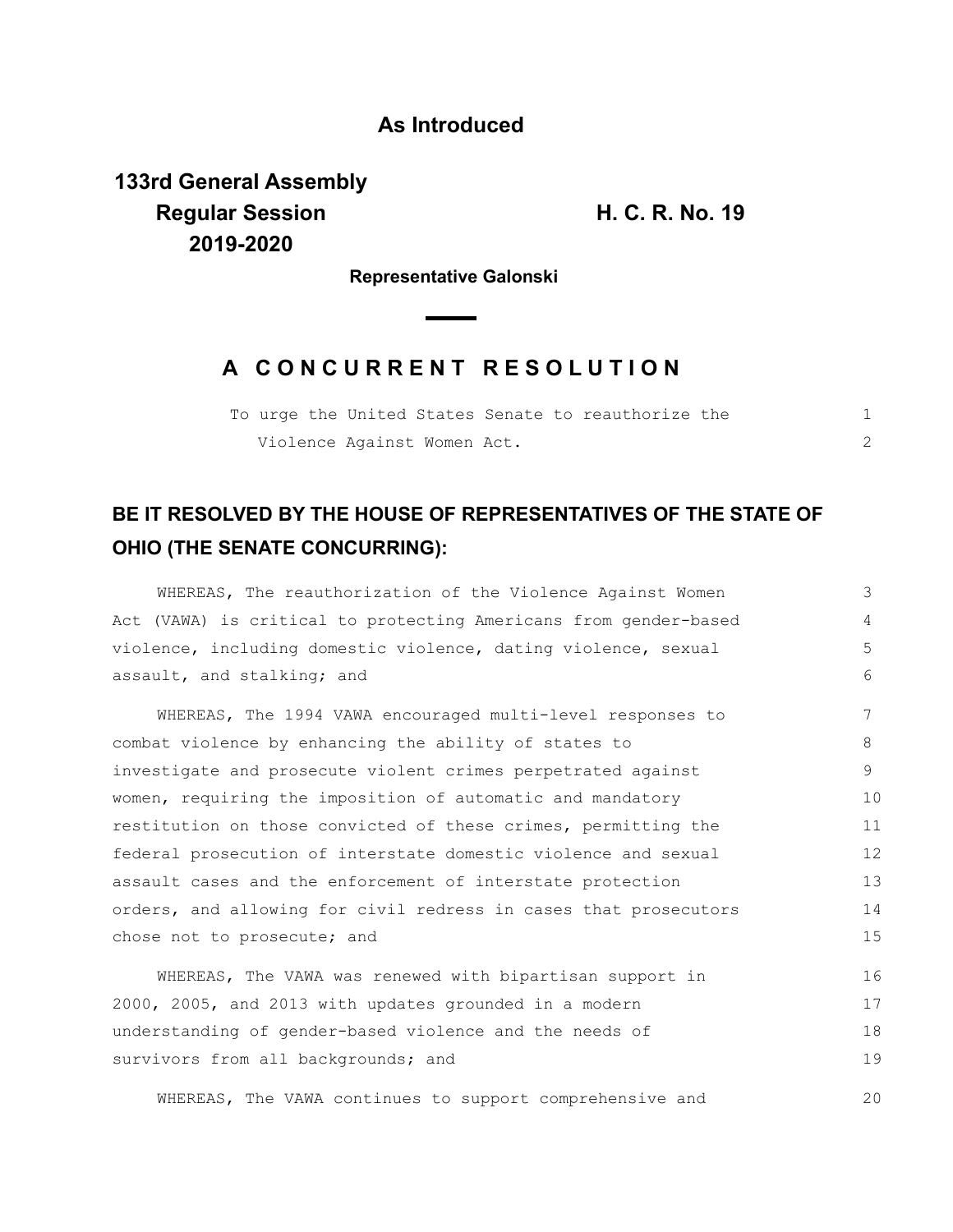### **As Introduced**

**133rd General Assembly Regular Session H. C. R. No. 19 2019-2020**

**Representative Galonski**

## **A C O N C U R R E N T R E S O L U T I O N**

|  |  |                             |  | To urge the United States Senate to reauthorize the |  |
|--|--|-----------------------------|--|-----------------------------------------------------|--|
|  |  | Violence Against Women Act. |  |                                                     |  |

# **BE IT RESOLVED BY THE HOUSE OF REPRESENTATIVES OF THE STATE OF OHIO (THE SENATE CONCURRING):**

| WHEREAS, The reauthorization of the Violence Against Women       | 3  |
|------------------------------------------------------------------|----|
| Act (VAWA) is critical to protecting Americans from gender-based | 4  |
| violence, including domestic violence, dating violence, sexual   | 5  |
| assault, and stalking; and                                       | 6  |
| WHEREAS, The 1994 VAWA encouraged multi-level responses to       | 7  |
| combat violence by enhancing the ability of states to            | 8  |
| investigate and prosecute violent crimes perpetrated against     | 9  |
| women, requiring the imposition of automatic and mandatory       | 10 |
| restitution on those convicted of these crimes, permitting the   | 11 |
| federal prosecution of interstate domestic violence and sexual   | 12 |
| assault cases and the enforcement of interstate protection       | 13 |
| orders, and allowing for civil redress in cases that prosecutors | 14 |
| chose not to prosecute; and                                      | 15 |
| WHEREAS, The VAWA was renewed with bipartisan support in         | 16 |
| 2000, 2005, and 2013 with updates grounded in a modern           | 17 |
| understanding of gender-based violence and the needs of          | 18 |
| survivors from all backgrounds; and                              | 19 |
| WHEREAS, The VAWA continues to support comprehensive and         | 20 |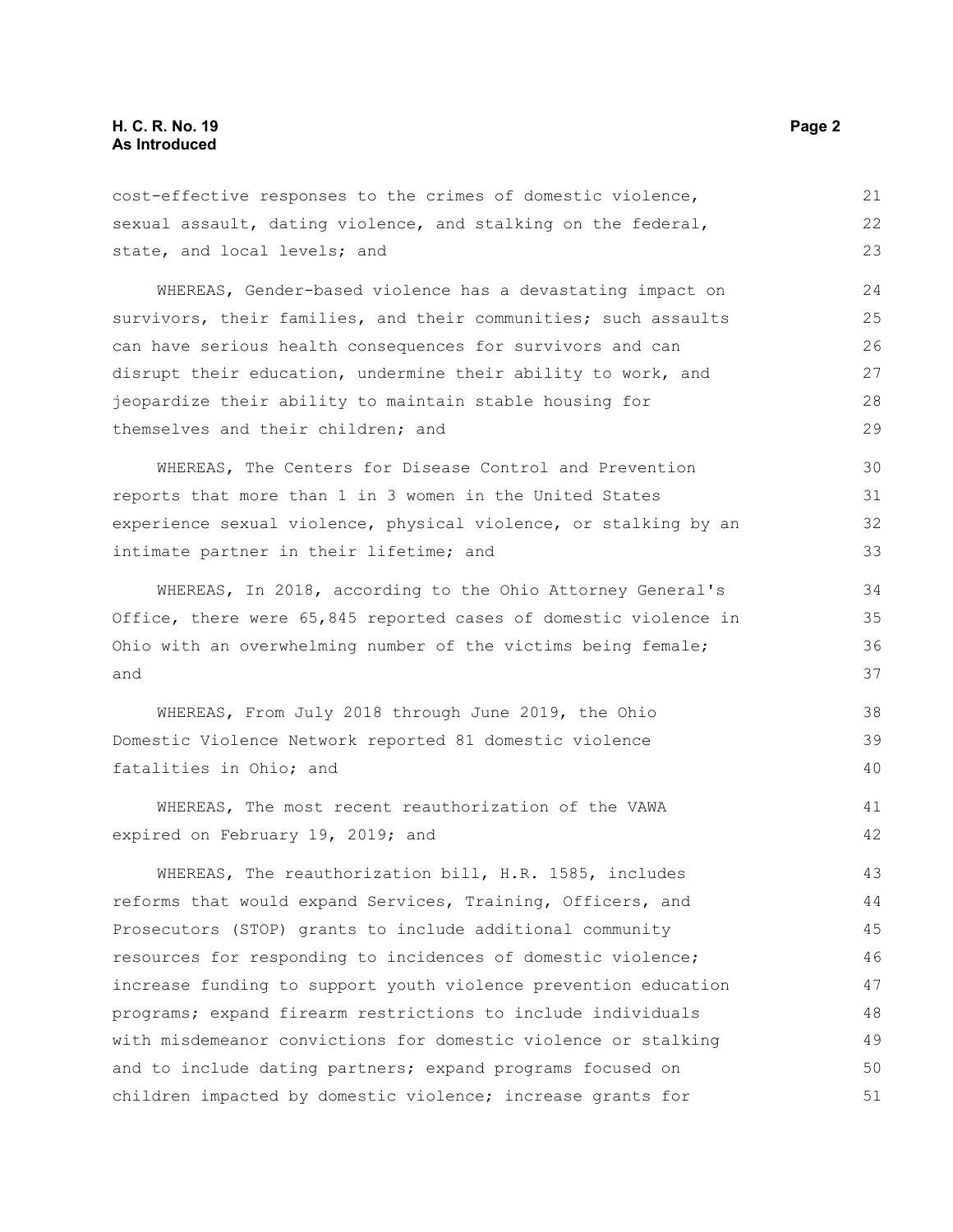### **H. C. R. No. 19 Page 2 As Introduced**

cost-effective responses to the crimes of domestic violence, sexual assault, dating violence, and stalking on the federal, state, and local levels; and

WHEREAS, Gender-based violence has a devastating impact on survivors, their families, and their communities; such assaults can have serious health consequences for survivors and can disrupt their education, undermine their ability to work, and jeopardize their ability to maintain stable housing for themselves and their children; and 24 25 26 27 28 29

WHEREAS, The Centers for Disease Control and Prevention reports that more than 1 in 3 women in the United States experience sexual violence, physical violence, or stalking by an intimate partner in their lifetime; and

WHEREAS, In 2018, according to the Ohio Attorney General's Office, there were 65,845 reported cases of domestic violence in Ohio with an overwhelming number of the victims being female; and

WHEREAS, From July 2018 through June 2019, the Ohio Domestic Violence Network reported 81 domestic violence fatalities in Ohio; and

WHEREAS, The most recent reauthorization of the VAWA expired on February 19, 2019; and

WHEREAS, The reauthorization bill, H.R. 1585, includes reforms that would expand Services, Training, Officers, and Prosecutors (STOP) grants to include additional community resources for responding to incidences of domestic violence; increase funding to support youth violence prevention education programs; expand firearm restrictions to include individuals with misdemeanor convictions for domestic violence or stalking and to include dating partners; expand programs focused on children impacted by domestic violence; increase grants for 43 44 45 46 47 48 49 50 51

21 22 23

38 39 40

41 42